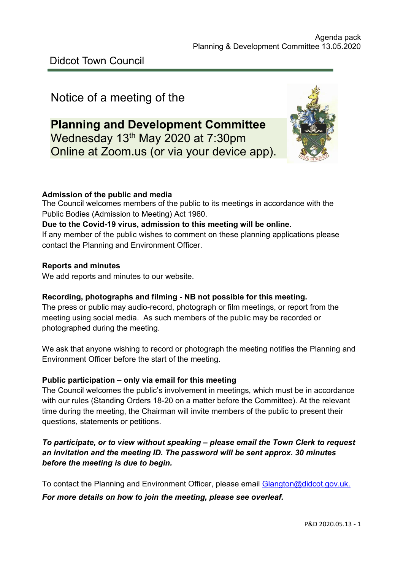# Didcot Town Council

Notice of a meeting of the

# **Planning and Development Committee** Wednesday 13<sup>th</sup> May 2020 at 7:30pm Online at Zoom.us (or via your device app).



### **Admission of the public and media**

The Council welcomes members of the public to its meetings in accordance with the Public Bodies (Admission to Meeting) Act 1960.

### **Due to the Covid-19 virus, admission to this meeting will be online.**

If any member of the public wishes to comment on these planning applications please contact the Planning and Environment Officer.

#### **Reports and minutes**

We add reports and minutes to our website.

#### **Recording, photographs and filming - NB not possible for this meeting.**

The press or public may audio-record, photograph or film meetings, or report from the meeting using social media. As such members of the public may be recorded or photographed during the meeting.

We ask that anyone wishing to record or photograph the meeting notifies the Planning and Environment Officer before the start of the meeting.

#### **Public participation – only via email for this meeting**

The Council welcomes the public's involvement in meetings, which must be in accordance with our rules (Standing Orders 18-20 on a matter before the Committee). At the relevant time during the meeting, the Chairman will invite members of the public to present their questions, statements or petitions.

# *To participate, or to view without speaking – please email the Town Clerk to request an invitation and the meeting ID. The password will be sent approx. 30 minutes before the meeting is due to begin.*

To contact the Planning and Environment Officer, please email **Glangton@didcot.gov.uk.** 

*For more details on how to join the meeting, please see overleaf.*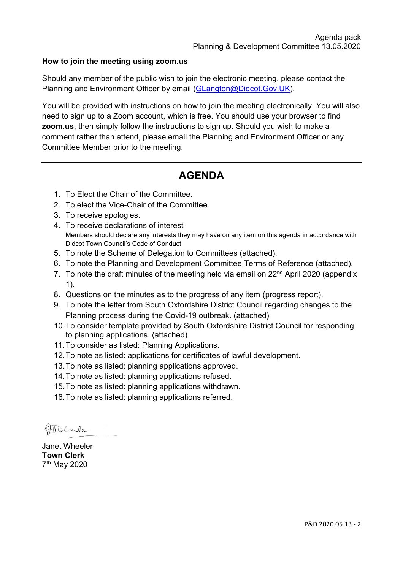#### **How to join the meeting using zoom.us**

Should any member of the public wish to join the electronic meeting, please contact the Planning and Environment Officer by email (GLangton@Didcot.Gov.UK).

You will be provided with instructions on how to join the meeting electronically. You will also need to sign up to a Zoom account, which is free. You should use your browser to find **zoom.us**, then simply follow the instructions to sign up. Should you wish to make a comment rather than attend, please email the Planning and Environment Officer or any Committee Member prior to the meeting.

# **AGENDA**

- 1. To Elect the Chair of the Committee.
- 2. To elect the Vice-Chair of the Committee.
- 3. To receive apologies.
- 4. To receive declarations of interest Members should declare any interests they may have on any item on this agenda in accordance with Didcot Town Council's Code of Conduct.
- 5. To note the Scheme of Delegation to Committees (attached).
- 6. To note the Planning and Development Committee Terms of Reference (attached).
- 7. To note the draft minutes of the meeting held via email on 22<sup>nd</sup> April 2020 (appendix 1).
- 8. Questions on the minutes as to the progress of any item (progress report).
- 9. To note the letter from South Oxfordshire District Council regarding changes to the Planning process during the Covid-19 outbreak. (attached)
- 10.To consider template provided by South Oxfordshire District Council for responding to planning applications. (attached)
- 11.To consider as listed: Planning Applications.
- 12.To note as listed: applications for certificates of lawful development.
- 13.To note as listed: planning applications approved.
- 14.To note as listed: planning applications refused.
- 15.To note as listed: planning applications withdrawn.
- 16.To note as listed: planning applications referred.

Woleecler

Janet Wheeler **Town Clerk** 7th May 2020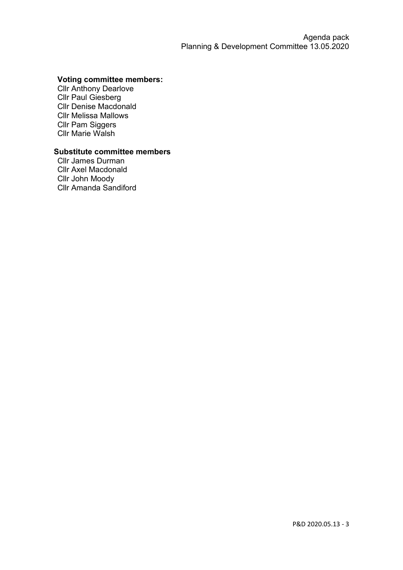# **Voting committee members:**

Cllr Anthony Dearlove Cllr Paul Giesberg Cllr Denise Macdonald Cllr Melissa Mallows Cllr Pam Siggers Cllr Marie Walsh

#### **Substitute committee members**

Cllr James Durman Cllr Axel Macdonald Cllr John Moody Cllr Amanda Sandiford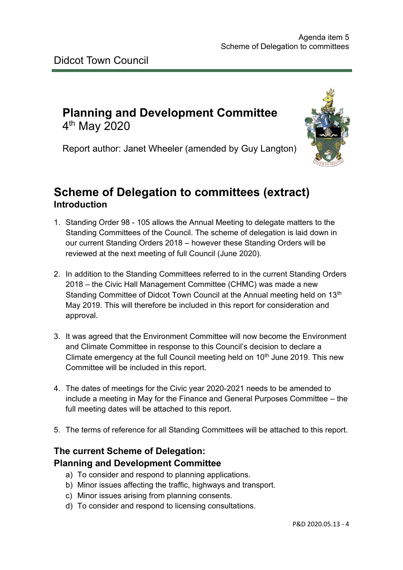# **Planning and Development Committee** 4th May 2020

Report author: Janet Wheeler (amended by Guy Langton)

# **Scheme of Delegation to committees (extract) Introduction**

- 1. Standing Order 98 105 allows the Annual Meeting to delegate matters to the Standing Committees of the Council. The scheme of delegation is laid down in our current Standing Orders 2018 – however these Standing Orders will be reviewed at the next meeting of full Council (June 2020).
- 2. In addition to the Standing Committees referred to in the current Standing Orders 2018 – the Civic Hall Management Committee (CHMC) was made a new Standing Committee of Didcot Town Council at the Annual meeting held on 13<sup>th</sup> May 2019. This will therefore be included in this report for consideration and approval.
- 3. It was agreed that the Environment Committee will now become the Environment and Climate Committee in response to this Council's decision to declare a Climate emergency at the full Council meeting held on  $10<sup>th</sup>$  June 2019. This new Committee will be included in this report.
- 4. The dates of meetings for the Civic year 2020-2021 needs to be amended to include a meeting in May for the Finance and General Purposes Committee – the full meeting dates will be attached to this report.
- 5. The terms of reference for all Standing Committees will be attached to this report.

# **The current Scheme of Delegation: Planning and Development Committee**

- a) To consider and respond to planning applications.
- b) Minor issues affecting the traffic, highways and transport.
- c) Minor issues arising from planning consents.
- d) To consider and respond to licensing consultations.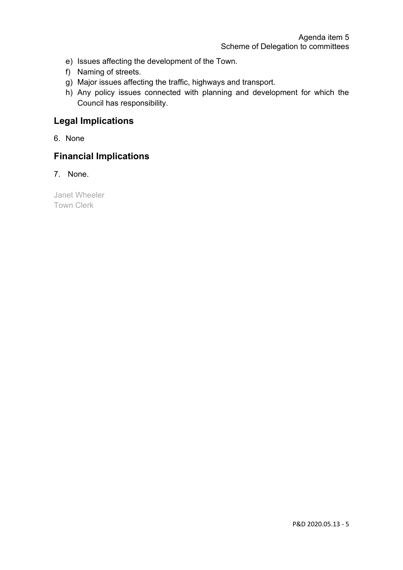- e) Issues affecting the development of the Town.
- f) Naming of streets.
- g) Major issues affecting the traffic, highways and transport.
- h) Any policy issues connected with planning and development for which the Council has responsibility.

# **Legal Implications**

6. None

# **Financial Implications**

7. None.

Janet Wheeler Town Clerk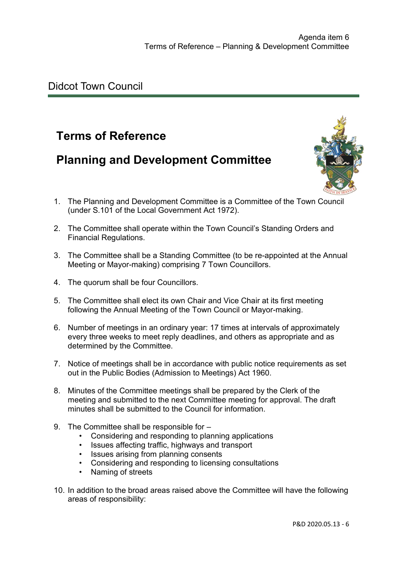# **Terms of Reference**

# **Planning and Development Committee**



- 1. The Planning and Development Committee is a Committee of the Town Council (under S.101 of the Local Government Act 1972).
- 2. The Committee shall operate within the Town Council's Standing Orders and Financial Regulations.
- 3. The Committee shall be a Standing Committee (to be re-appointed at the Annual Meeting or Mayor-making) comprising 7 Town Councillors.
- 4. The quorum shall be four Councillors.
- 5. The Committee shall elect its own Chair and Vice Chair at its first meeting following the Annual Meeting of the Town Council or Mayor-making.
- 6. Number of meetings in an ordinary year: 17 times at intervals of approximately every three weeks to meet reply deadlines, and others as appropriate and as determined by the Committee.
- 7. Notice of meetings shall be in accordance with public notice requirements as set out in the Public Bodies (Admission to Meetings) Act 1960.
- 8. Minutes of the Committee meetings shall be prepared by the Clerk of the meeting and submitted to the next Committee meeting for approval. The draft minutes shall be submitted to the Council for information.
- 9. The Committee shall be responsible for
	- Considering and responding to planning applications
	- Issues affecting traffic, highways and transport
	- Issues arising from planning consents
	- Considering and responding to licensing consultations
	- Naming of streets
- 10. In addition to the broad areas raised above the Committee will have the following areas of responsibility: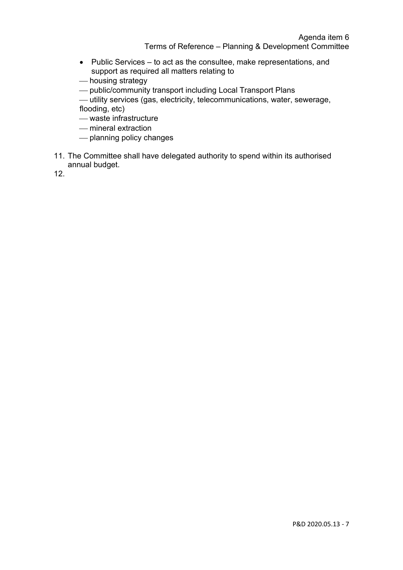- Public Services to act as the consultee, make representations, and support as required all matters relating to
- housing strategy
- public/community transport including Local Transport Plans
- ⎯ utility services (gas, electricity, telecommunications, water, sewerage, flooding, etc)
- ⎯ waste infrastructure
- mineral extraction
- planning policy changes
- 11. The Committee shall have delegated authority to spend within its authorised annual budget.
- 12.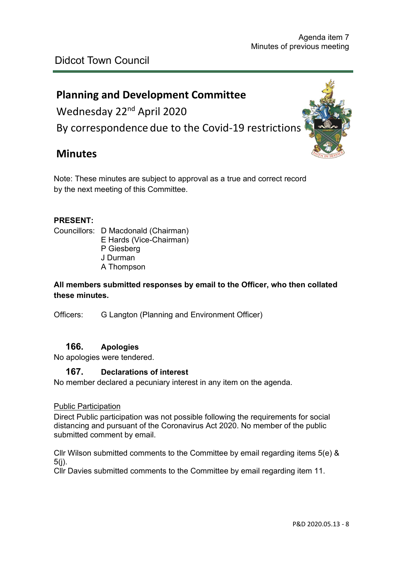# **Planning and Development Committee**

Wednesday 22<sup>nd</sup> April 2020

By correspondence due to the Covid-19 restrictions.

# **Minutes**



Note: These minutes are subject to approval as a true and correct record by the next meeting of this Committee.

### **PRESENT:**

#### Councillors: D Macdonald (Chairman)

- E Hards (Vice-Chairman)
	- P Giesberg
	- J Durman
	- A Thompson

**All members submitted responses by email to the Officer, who then collated these minutes.**

Officers: G Langton (Planning and Environment Officer)

## **166. Apologies**

No apologies were tendered.

#### **167. Declarations of interest**

No member declared a pecuniary interest in any item on the agenda.

#### Public Participation

Direct Public participation was not possible following the requirements for social distancing and pursuant of the Coronavirus Act 2020. No member of the public submitted comment by email.

Cllr Wilson submitted comments to the Committee by email regarding items 5(e) &  $5(i)$ .

Cllr Davies submitted comments to the Committee by email regarding item 11.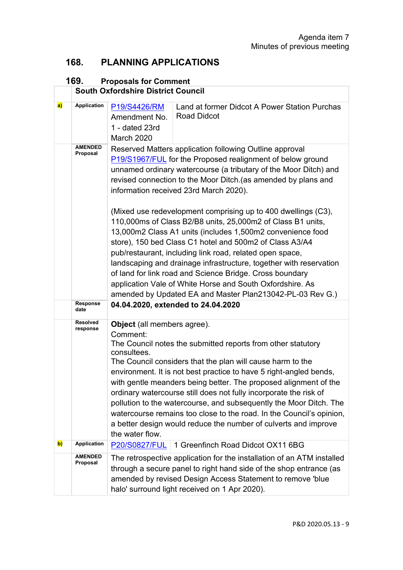# **168. PLANNING APPLICATIONS**

#### **169. Proposals for Comment South Oxfordshire District Council**

| a) | Application                 | P19/S4426/RM<br>Amendment No.<br>1 - dated 23rd<br>March 2020             | Land at former Didcot A Power Station Purchas<br><b>Road Didcot</b>                                                                                                                                                                                                                                                                                                                                                                                                                                                                                                                                                                                                                                                                                                                                                                                                                    |
|----|-----------------------------|---------------------------------------------------------------------------|----------------------------------------------------------------------------------------------------------------------------------------------------------------------------------------------------------------------------------------------------------------------------------------------------------------------------------------------------------------------------------------------------------------------------------------------------------------------------------------------------------------------------------------------------------------------------------------------------------------------------------------------------------------------------------------------------------------------------------------------------------------------------------------------------------------------------------------------------------------------------------------|
|    | <b>AMENDED</b><br>Proposal  |                                                                           | Reserved Matters application following Outline approval<br>P19/S1967/FUL for the Proposed realignment of below ground<br>unnamed ordinary watercourse (a tributary of the Moor Ditch) and<br>revised connection to the Moor Ditch. (as amended by plans and<br>information received 23rd March 2020).<br>(Mixed use redevelopment comprising up to 400 dwellings (C3),<br>110,000ms of Class B2/B8 units, 25,000m2 of Class B1 units,<br>13,000m2 Class A1 units (includes 1,500m2 convenience food<br>store), 150 bed Class C1 hotel and 500m2 of Class A3/A4<br>pub/restaurant, including link road, related open space,<br>landscaping and drainage infrastructure, together with reservation<br>of land for link road and Science Bridge. Cross boundary<br>application Vale of White Horse and South Oxfordshire. As<br>amended by Updated EA and Master Plan213042-PL-03 Rev G.) |
|    | Response<br>date            |                                                                           | 04.04.2020, extended to 24.04.2020                                                                                                                                                                                                                                                                                                                                                                                                                                                                                                                                                                                                                                                                                                                                                                                                                                                     |
|    | <b>Resolved</b><br>response | Object (all members agree).<br>Comment:<br>consultees.<br>the water flow. | The Council notes the submitted reports from other statutory<br>The Council considers that the plan will cause harm to the<br>environment. It is not best practice to have 5 right-angled bends,<br>with gentle meanders being better. The proposed alignment of the<br>ordinary watercourse still does not fully incorporate the risk of<br>pollution to the watercourse, and subsequently the Moor Ditch. The<br>watercourse remains too close to the road. In the Council's opinion,<br>a better design would reduce the number of culverts and improve                                                                                                                                                                                                                                                                                                                             |
| b) | <b>Application</b>          | <b>P20/S0827/FUL</b>                                                      | 1 Greenfinch Road Didcot OX11 6BG                                                                                                                                                                                                                                                                                                                                                                                                                                                                                                                                                                                                                                                                                                                                                                                                                                                      |
|    | <b>AMENDED</b><br>Proposal  |                                                                           | The retrospective application for the installation of an ATM installed<br>through a secure panel to right hand side of the shop entrance (as<br>amended by revised Design Access Statement to remove 'blue<br>halo' surround light received on 1 Apr 2020).                                                                                                                                                                                                                                                                                                                                                                                                                                                                                                                                                                                                                            |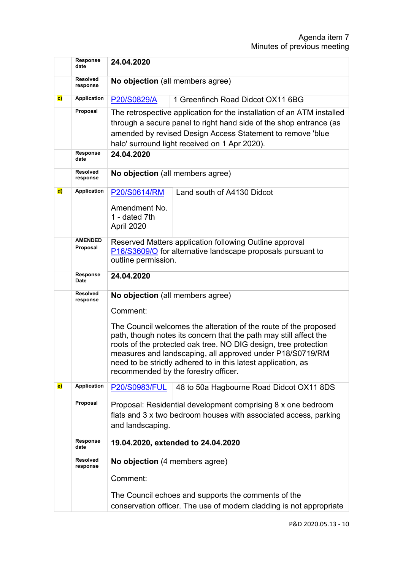|                             | Response<br>date            | 24.04.2020                                                                                                                                                                                                                                                                                                                                                                     |
|-----------------------------|-----------------------------|--------------------------------------------------------------------------------------------------------------------------------------------------------------------------------------------------------------------------------------------------------------------------------------------------------------------------------------------------------------------------------|
|                             | <b>Resolved</b><br>response | No objection (all members agree)                                                                                                                                                                                                                                                                                                                                               |
| $\mathbf{c}$                | <b>Application</b>          | 1 Greenfinch Road Didcot OX11 6BG<br>P20/S0829/A                                                                                                                                                                                                                                                                                                                               |
|                             | Proposal                    | The retrospective application for the installation of an ATM installed<br>through a secure panel to right hand side of the shop entrance (as<br>amended by revised Design Access Statement to remove 'blue<br>halo' surround light received on 1 Apr 2020).                                                                                                                    |
|                             | <b>Response</b><br>date     | 24.04.2020                                                                                                                                                                                                                                                                                                                                                                     |
|                             | <b>Resolved</b><br>response | No objection (all members agree)                                                                                                                                                                                                                                                                                                                                               |
| $\mathsf{d}$                | Application                 | P20/S0614/RM<br>Land south of A4130 Didcot                                                                                                                                                                                                                                                                                                                                     |
|                             |                             | Amendment No.<br>1 - dated 7th<br>April 2020                                                                                                                                                                                                                                                                                                                                   |
|                             | <b>AMENDED</b><br>Proposal  | Reserved Matters application following Outline approval<br>P16/S3609/O for alternative landscape proposals pursuant to<br>outline permission.                                                                                                                                                                                                                                  |
|                             | <b>Response</b><br>Date     | 24.04.2020                                                                                                                                                                                                                                                                                                                                                                     |
|                             | <b>Resolved</b><br>response | No objection (all members agree)                                                                                                                                                                                                                                                                                                                                               |
|                             |                             | Comment:                                                                                                                                                                                                                                                                                                                                                                       |
|                             |                             | The Council welcomes the alteration of the route of the proposed<br>path, though notes its concern that the path may still affect the<br>roots of the protected oak tree. NO DIG design, tree protection<br>measures and landscaping, all approved under P18/S0719/RM<br>need to be strictly adhered to in this latest application, as<br>recommended by the forestry officer. |
| $\left( \mathbf{e} \right)$ | <b>Application</b>          | 48 to 50a Hagbourne Road Didcot OX11 8DS<br>P20/S0983/FUL                                                                                                                                                                                                                                                                                                                      |
|                             | Proposal                    | Proposal: Residential development comprising 8 x one bedroom<br>flats and 3 x two bedroom houses with associated access, parking<br>and landscaping.                                                                                                                                                                                                                           |
|                             | <b>Response</b><br>date     | 19.04.2020, extended to 24.04.2020                                                                                                                                                                                                                                                                                                                                             |
|                             | <b>Resolved</b><br>response | No objection (4 members agree)<br>Comment:<br>The Council echoes and supports the comments of the                                                                                                                                                                                                                                                                              |
|                             |                             | conservation officer. The use of modern cladding is not appropriate                                                                                                                                                                                                                                                                                                            |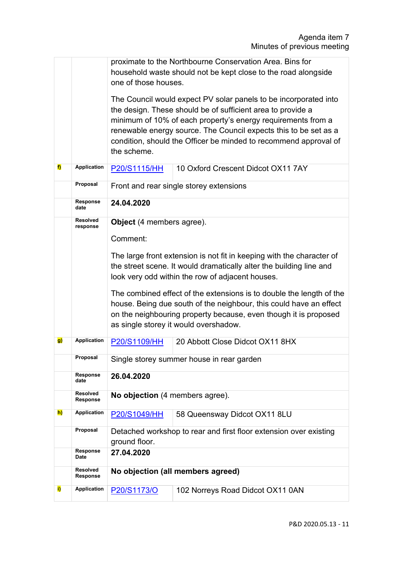|            |                                    |                                 | proximate to the Northbourne Conservation Area. Bins for<br>household waste should not be kept close to the road alongside                                                                                                                                                                                                              |
|------------|------------------------------------|---------------------------------|-----------------------------------------------------------------------------------------------------------------------------------------------------------------------------------------------------------------------------------------------------------------------------------------------------------------------------------------|
|            |                                    | one of those houses.            |                                                                                                                                                                                                                                                                                                                                         |
|            |                                    | the scheme.                     | The Council would expect PV solar panels to be incorporated into<br>the design. These should be of sufficient area to provide a<br>minimum of 10% of each property's energy requirements from a<br>renewable energy source. The Council expects this to be set as a<br>condition, should the Officer be minded to recommend approval of |
| f)         | <b>Application</b>                 | <b>P20/S1115/HH</b>             | 10 Oxford Crescent Didcot OX11 7AY                                                                                                                                                                                                                                                                                                      |
|            | Proposal                           |                                 | Front and rear single storey extensions                                                                                                                                                                                                                                                                                                 |
|            | Response<br>date                   | 24.04.2020                      |                                                                                                                                                                                                                                                                                                                                         |
|            | <b>Resolved</b><br>response        | Object (4 members agree).       |                                                                                                                                                                                                                                                                                                                                         |
|            |                                    | Comment:                        |                                                                                                                                                                                                                                                                                                                                         |
|            |                                    |                                 | The large front extension is not fit in keeping with the character of                                                                                                                                                                                                                                                                   |
|            |                                    |                                 | the street scene. It would dramatically alter the building line and<br>look very odd within the row of adjacent houses.                                                                                                                                                                                                                 |
|            |                                    |                                 | The combined effect of the extensions is to double the length of the                                                                                                                                                                                                                                                                    |
|            |                                    |                                 | house. Being due south of the neighbour, this could have an effect<br>on the neighbouring property because, even though it is proposed                                                                                                                                                                                                  |
|            |                                    |                                 | as single storey it would overshadow.                                                                                                                                                                                                                                                                                                   |
| <b>g</b> ) | Application                        | <b>P20/S1109/HH</b>             | 20 Abbott Close Didcot OX11 8HX                                                                                                                                                                                                                                                                                                         |
|            | Proposal                           |                                 | Single storey summer house in rear garden                                                                                                                                                                                                                                                                                               |
|            | <b>Response</b><br>date            | 26.04.2020                      |                                                                                                                                                                                                                                                                                                                                         |
|            | <b>Resolved</b><br>Response        | No objection (4 members agree). |                                                                                                                                                                                                                                                                                                                                         |
| h)         | Application                        | P20/S1049/HH                    | 58 Queensway Didcot OX11 8LU                                                                                                                                                                                                                                                                                                            |
|            | Proposal                           | ground floor.                   | Detached workshop to rear and first floor extension over existing                                                                                                                                                                                                                                                                       |
|            | Response                           | 27.04.2020                      |                                                                                                                                                                                                                                                                                                                                         |
|            | Date                               |                                 |                                                                                                                                                                                                                                                                                                                                         |
|            | <b>Resolved</b><br><b>Response</b> |                                 | No objection (all members agreed)                                                                                                                                                                                                                                                                                                       |
| i)         | Application                        | P20/S1173/O                     | 102 Norreys Road Didcot OX11 0AN                                                                                                                                                                                                                                                                                                        |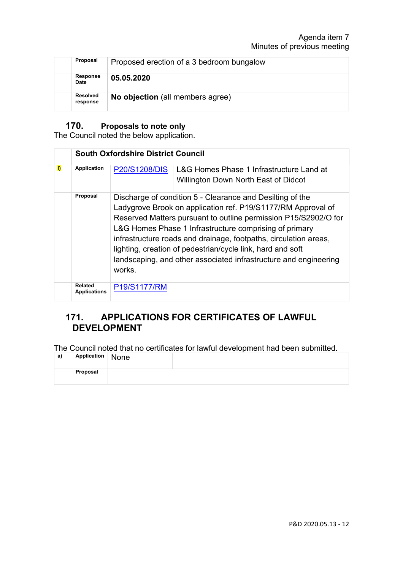| Proposal                       | Proposed erection of a 3 bedroom bungalow |
|--------------------------------|-------------------------------------------|
| <b>Response</b><br><b>Date</b> | 05.05.2020                                |
| <b>Resolved</b><br>response    | No objection (all members agree)          |

# **170. Proposals to note only**

The Council noted the below application.

|   |                                | <b>South Oxfordshire District Council</b>                                                                                                                                                                                                                                                                                                                                                                                                                              |
|---|--------------------------------|------------------------------------------------------------------------------------------------------------------------------------------------------------------------------------------------------------------------------------------------------------------------------------------------------------------------------------------------------------------------------------------------------------------------------------------------------------------------|
| D | <b>Application</b>             | P20/S1208/DIS<br>L&G Homes Phase 1 Infrastructure Land at<br>Willington Down North East of Didcot                                                                                                                                                                                                                                                                                                                                                                      |
|   | Proposal                       | Discharge of condition 5 - Clearance and Desilting of the<br>Ladygrove Brook on application ref. P19/S1177/RM Approval of<br>Reserved Matters pursuant to outline permission P15/S2902/O for<br>L&G Homes Phase 1 Infrastructure comprising of primary<br>infrastructure roads and drainage, footpaths, circulation areas,<br>lighting, creation of pedestrian/cycle link, hard and soft<br>landscaping, and other associated infrastructure and engineering<br>works. |
|   | Related<br><b>Applications</b> | P19/S1177/RM                                                                                                                                                                                                                                                                                                                                                                                                                                                           |

# **171. APPLICATIONS FOR CERTIFICATES OF LAWFUL DEVELOPMENT**

The Council noted that no certificates for lawful development had been submitted.

| a) | Application   None |  |
|----|--------------------|--|
|    | Proposal           |  |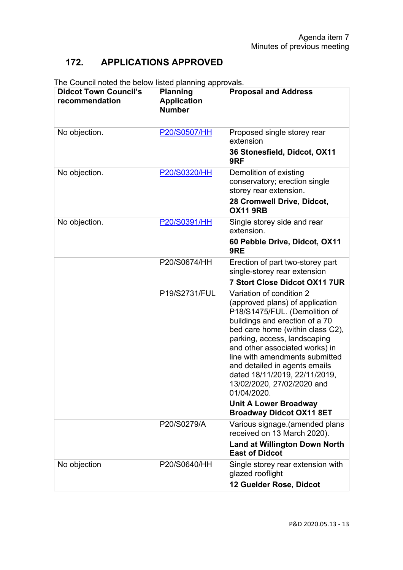# **172. APPLICATIONS APPROVED**

|  |  |  | The Council noted the below listed planning approvals. |  |
|--|--|--|--------------------------------------------------------|--|
|  |  |  |                                                        |  |
|  |  |  |                                                        |  |

| The Council Hoted the below listed planning approvais.<br><b>Didcot Town Council's</b><br>recommendation | <b>Planning</b><br><b>Application</b><br><b>Number</b> | <b>Proposal and Address</b>                                                                                                                                                                                                                                                                                                                                                           |
|----------------------------------------------------------------------------------------------------------|--------------------------------------------------------|---------------------------------------------------------------------------------------------------------------------------------------------------------------------------------------------------------------------------------------------------------------------------------------------------------------------------------------------------------------------------------------|
| No objection.                                                                                            | P20/S0507/HH                                           | Proposed single storey rear<br>extension<br>36 Stonesfield, Didcot, OX11<br>9RF                                                                                                                                                                                                                                                                                                       |
| No objection.                                                                                            | P20/S0320/HH                                           | Demolition of existing<br>conservatory; erection single<br>storey rear extension.<br>28 Cromwell Drive, Didcot,<br><b>OX11 9RB</b>                                                                                                                                                                                                                                                    |
| No objection.                                                                                            | P20/S0391/HH                                           | Single storey side and rear<br>extension.<br>60 Pebble Drive, Didcot, OX11<br>9RE                                                                                                                                                                                                                                                                                                     |
|                                                                                                          | P20/S0674/HH                                           | Erection of part two-storey part<br>single-storey rear extension<br><b>7 Stort Close Didcot OX11 7UR</b>                                                                                                                                                                                                                                                                              |
|                                                                                                          | P19/S2731/FUL                                          | Variation of condition 2<br>(approved plans) of application<br>P18/S1475/FUL. (Demolition of<br>buildings and erection of a 70<br>bed care home (within class C2),<br>parking, access, landscaping<br>and other associated works) in<br>line with amendments submitted<br>and detailed in agents emails<br>dated 18/11/2019, 22/11/2019,<br>13/02/2020, 27/02/2020 and<br>01/04/2020. |
|                                                                                                          |                                                        | <b>Unit A Lower Broadway</b><br><b>Broadway Didcot OX11 8ET</b>                                                                                                                                                                                                                                                                                                                       |
|                                                                                                          | P20/S0279/A                                            | Various signage. (amended plans<br>received on 13 March 2020).                                                                                                                                                                                                                                                                                                                        |
|                                                                                                          |                                                        | <b>Land at Willington Down North</b><br><b>East of Didcot</b>                                                                                                                                                                                                                                                                                                                         |
| No objection                                                                                             | P20/S0640/HH                                           | Single storey rear extension with<br>glazed rooflight<br>12 Guelder Rose, Didcot                                                                                                                                                                                                                                                                                                      |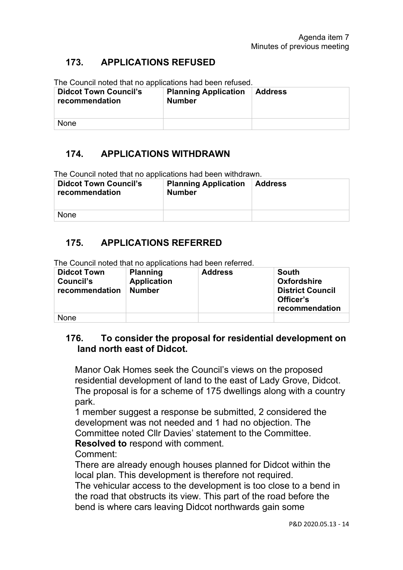# **173. APPLICATIONS REFUSED**

The Council noted that no applications had been refused.

| <b>Didcot Town Council's</b><br>recommendation | <b>Planning Application</b><br><b>Number</b> | <b>Address</b> |
|------------------------------------------------|----------------------------------------------|----------------|
| None                                           |                                              |                |

# **174. APPLICATIONS WITHDRAWN**

The Council noted that no applications had been withdrawn.

| <b>Didcot Town Council's</b><br>recommendation | <b>Planning Application</b><br><b>Number</b> | Address |
|------------------------------------------------|----------------------------------------------|---------|
| <b>None</b>                                    |                                              |         |

# **175. APPLICATIONS REFERRED**

The Council noted that no applications had been referred.

| <b>Didcot Town</b><br>Council's<br>recommendation | <b>Planning</b><br><b>Application</b><br><b>Number</b> | <b>Address</b> | <b>South</b><br>Oxfordshire<br><b>District Council</b><br>Officer's<br>recommendation |
|---------------------------------------------------|--------------------------------------------------------|----------------|---------------------------------------------------------------------------------------|
| None                                              |                                                        |                |                                                                                       |

# **176. To consider the proposal for residential development on land north east of Didcot.**

Manor Oak Homes seek the Council's views on the proposed residential development of land to the east of Lady Grove, Didcot. The proposal is for a scheme of 175 dwellings along with a country park.

1 member suggest a response be submitted, 2 considered the development was not needed and 1 had no objection. The Committee noted Cllr Davies' statement to the Committee. **Resolved to** respond with comment.

Comment:

There are already enough houses planned for Didcot within the local plan. This development is therefore not required.

The vehicular access to the development is too close to a bend in the road that obstructs its view. This part of the road before the bend is where cars leaving Didcot northwards gain some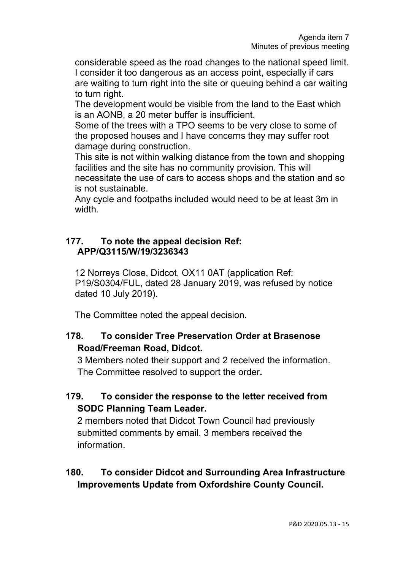considerable speed as the road changes to the national speed limit. I consider it too dangerous as an access point, especially if cars are waiting to turn right into the site or queuing behind a car waiting to turn right.

The development would be visible from the land to the East which is an AONB, a 20 meter buffer is insufficient.

Some of the trees with a TPO seems to be very close to some of the proposed houses and I have concerns they may suffer root damage during construction.

This site is not within walking distance from the town and shopping facilities and the site has no community provision. This will necessitate the use of cars to access shops and the station and so is not sustainable.

Any cycle and footpaths included would need to be at least 3m in width.

# **177. To note the appeal decision Ref: APP/Q3115/W/19/3236343**

12 Norreys Close, Didcot, OX11 0AT (application Ref: P19/S0304/FUL, dated 28 January 2019, was refused by notice dated 10 July 2019).

The Committee noted the appeal decision.

# **178. To consider Tree Preservation Order at Brasenose Road/Freeman Road, Didcot.**

3 Members noted their support and 2 received the information. The Committee resolved to support the order**.** 

# **179. To consider the response to the letter received from SODC Planning Team Leader.**

2 members noted that Didcot Town Council had previously submitted comments by email. 3 members received the information.

# **180. To consider Didcot and Surrounding Area Infrastructure Improvements Update from Oxfordshire County Council.**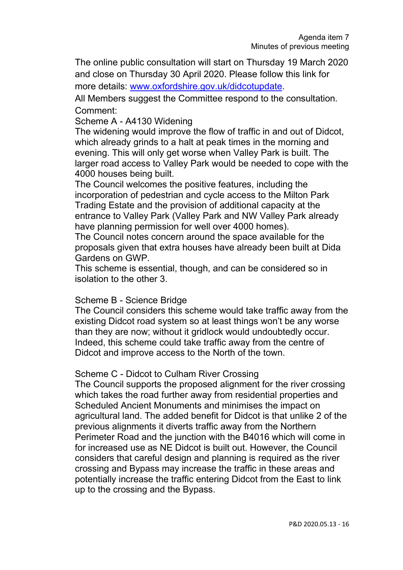The online public consultation will start on Thursday 19 March 2020 and close on Thursday 30 April 2020. Please follow this link for more details: www.oxfordshire.gov.uk/didcotupdate.

All Members suggest the Committee respond to the consultation. Comment:

# Scheme A - A4130 Widening

The widening would improve the flow of traffic in and out of Didcot, which already grinds to a halt at peak times in the morning and evening. This will only get worse when Valley Park is built. The larger road access to Valley Park would be needed to cope with the 4000 houses being built.

The Council welcomes the positive features, including the incorporation of pedestrian and cycle access to the Milton Park Trading Estate and the provision of additional capacity at the entrance to Valley Park (Valley Park and NW Valley Park already have planning permission for well over 4000 homes).

The Council notes concern around the space available for the proposals given that extra houses have already been built at Dida Gardens on GWP.

This scheme is essential, though, and can be considered so in isolation to the other 3.

## Scheme B - Science Bridge

The Council considers this scheme would take traffic away from the existing Didcot road system so at least things won't be any worse than they are now; without it gridlock would undoubtedly occur. Indeed, this scheme could take traffic away from the centre of Didcot and improve access to the North of the town.

## Scheme C - Didcot to Culham River Crossing

The Council supports the proposed alignment for the river crossing which takes the road further away from residential properties and Scheduled Ancient Monuments and minimises the impact on agricultural land. The added benefit for Didcot is that unlike 2 of the previous alignments it diverts traffic away from the Northern Perimeter Road and the junction with the B4016 which will come in for increased use as NE Didcot is built out. However, the Council considers that careful design and planning is required as the river crossing and Bypass may increase the traffic in these areas and potentially increase the traffic entering Didcot from the East to link up to the crossing and the Bypass.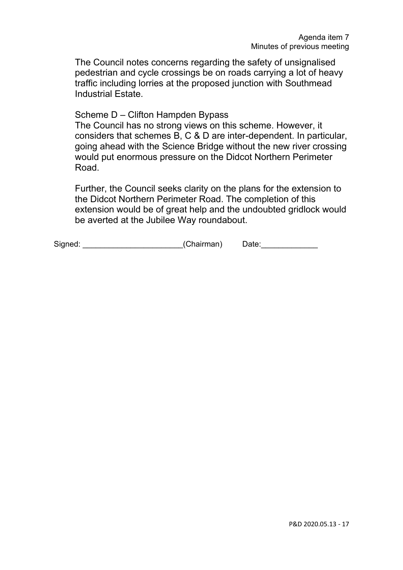The Council notes concerns regarding the safety of unsignalised pedestrian and cycle crossings be on roads carrying a lot of heavy traffic including lorries at the proposed junction with Southmead Industrial Estate.

Scheme D – Clifton Hampden Bypass

The Council has no strong views on this scheme. However, it considers that schemes B, C & D are inter-dependent. In particular, going ahead with the Science Bridge without the new river crossing would put enormous pressure on the Didcot Northern Perimeter Road.

Further, the Council seeks clarity on the plans for the extension to the Didcot Northern Perimeter Road. The completion of this extension would be of great help and the undoubted gridlock would be averted at the Jubilee Way roundabout.

Signed: \_\_\_\_\_\_\_\_\_\_\_\_\_\_\_\_\_\_\_\_\_\_\_\_\_\_\_\_(Chairman) Date: \_\_\_\_\_\_\_\_\_\_\_\_\_\_\_\_\_\_\_\_\_\_\_\_\_\_\_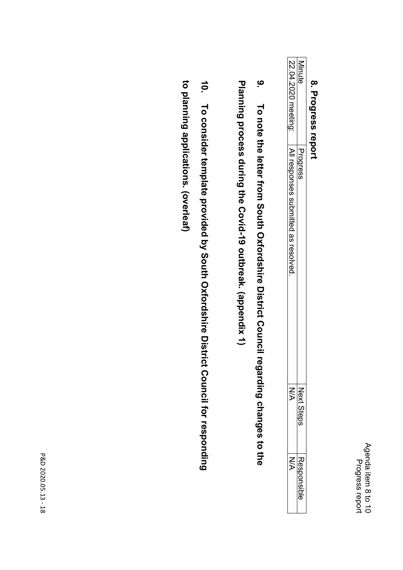# 8. Progress report **8. Progress report**

| Ś                             | I<br>Í<br>ミくく<br>ļ                                                                 |  |
|-------------------------------|------------------------------------------------------------------------------------|--|
| דל-טליב-לטביווסכווו<br>l<br>Ī | <b>^ ミニークりてりこうりつ クタスニニュウク 22 こうりつこうりょう</b><br>í<br>í<br>)<br>)<br>)<br>)<br>)<br>í |  |

**9.** To note the letter from South Oxfordshire District Council regarding changes to the **To note the letter from South Oxfordshire District Council regarding changes to the** 

Planning process during the Covid-19 outbreak. (appendix 1) **Planning process during the Covid-19 outbreak. (appendix 1)**

10. To consider template provided by South Oxfordshire District Council for responding **To consider template provided by South Oxfordshire District Council for responding** 

**to planning applications. (overleaf)**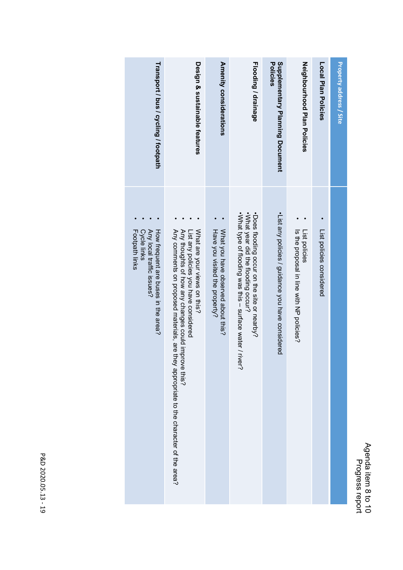| Transport / bus / cycling / footpath                                                              | Design & sustainable features                                                                                                                                                                                          | <b>Amenity considerations</b>                                        | Flooding / drainage                                                                                                                                | Supplementary Planning Document<br>Policies       | Neighbourhood Plan Policies                                | Local Plan Policies      | Property address / Site |
|---------------------------------------------------------------------------------------------------|------------------------------------------------------------------------------------------------------------------------------------------------------------------------------------------------------------------------|----------------------------------------------------------------------|----------------------------------------------------------------------------------------------------------------------------------------------------|---------------------------------------------------|------------------------------------------------------------|--------------------------|-------------------------|
| Any local traffic issues?<br>Footpath links<br>Cycle links<br>How frequent are buses in the area? | Any thoughts of how any changes could improve this?<br>What are your views on this?<br>Any comments on proposed materials, are they appropriate to the character of the area?<br>List any policies you have considered | Have you visited the property?<br>What you have observed about this? | .What year did the flooding occur?<br>• What type of flooding was this - surface water / ri<br>• Does flooding occur on the site or nearby?<br>ΘĽ, | •List any policies / guidance you have considered | List policies<br>Is the proposal in line with NP policies? | List policies considered |                         |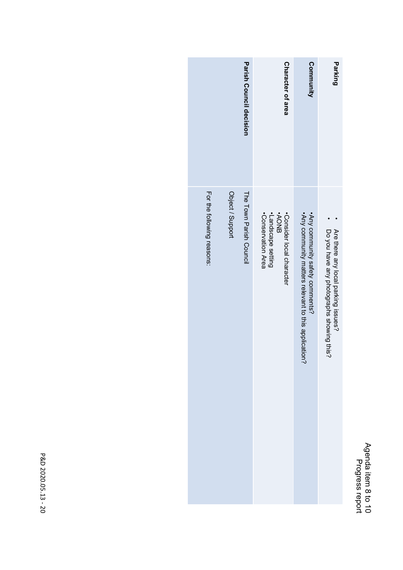|                            | <b>Parish Conniculation</b>                 | Character of area                                                                    | Community                                                                                 | Parking                                                                          |
|----------------------------|---------------------------------------------|--------------------------------------------------------------------------------------|-------------------------------------------------------------------------------------------|----------------------------------------------------------------------------------|
| For the following reasons: | Object / Support<br>The Town Parish Council | ·Landscape setting<br>•Conservation Area<br><b>BNOW</b><br>.Consider local character | . Any community matters relevant to this application?<br>. Any community safety comments? | Do you have any photographs showing this?<br>Are there any local parking issues? |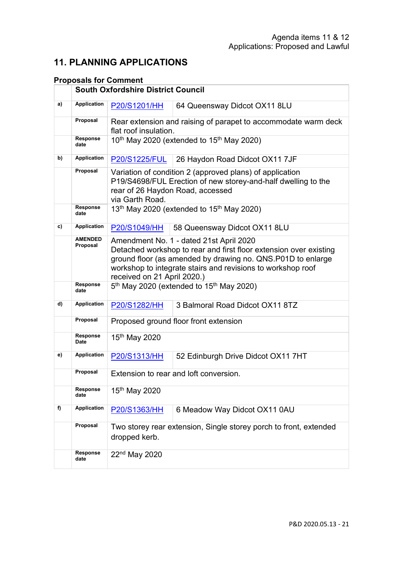# **11. PLANNING APPLICATIONS**

# **Proposals for Comment**

|    |                            | <b>South Oxfordshire District Council</b>           |                                                                                                                                                                                                                                            |
|----|----------------------------|-----------------------------------------------------|--------------------------------------------------------------------------------------------------------------------------------------------------------------------------------------------------------------------------------------------|
| a) | <b>Application</b>         | P20/S1201/HH                                        | 64 Queensway Didcot OX11 8LU                                                                                                                                                                                                               |
|    | Proposal                   | flat roof insulation.                               | Rear extension and raising of parapet to accommodate warm deck                                                                                                                                                                             |
|    | Response<br>date           |                                                     | 10 <sup>th</sup> May 2020 (extended to 15 <sup>th</sup> May 2020)                                                                                                                                                                          |
| b) | <b>Application</b>         | <b>P20/S1225/FUL</b>                                | 26 Haydon Road Didcot OX11 7JF                                                                                                                                                                                                             |
|    | Proposal                   | rear of 26 Haydon Road, accessed<br>via Garth Road. | Variation of condition 2 (approved plans) of application<br>P19/S4698/FUL Erection of new storey-and-half dwelling to the                                                                                                                  |
|    | <b>Response</b><br>date    |                                                     | 13 <sup>th</sup> May 2020 (extended to 15 <sup>th</sup> May 2020)                                                                                                                                                                          |
| c) | Application                | <b>P20/S1049/HH</b>                                 | 58 Queensway Didcot OX11 8LU                                                                                                                                                                                                               |
|    | <b>AMENDED</b><br>Proposal | received on 21 April 2020.)                         | Amendment No. 1 - dated 21st April 2020<br>Detached workshop to rear and first floor extension over existing<br>ground floor (as amended by drawing no. QNS.P01D to enlarge<br>workshop to integrate stairs and revisions to workshop roof |
|    | Response<br>date           |                                                     | 5 <sup>th</sup> May 2020 (extended to 15 <sup>th</sup> May 2020)                                                                                                                                                                           |
| d) | <b>Application</b>         | P20/S1282/HH                                        | 3 Balmoral Road Didcot OX11 8TZ                                                                                                                                                                                                            |
|    | Proposal                   |                                                     | Proposed ground floor front extension                                                                                                                                                                                                      |
|    | Response<br><b>Date</b>    | 15 <sup>th</sup> May 2020                           |                                                                                                                                                                                                                                            |
| e) | <b>Application</b>         | P20/S1313/HH                                        | 52 Edinburgh Drive Didcot OX11 7HT                                                                                                                                                                                                         |
|    | Proposal                   | Extension to rear and loft conversion.              |                                                                                                                                                                                                                                            |
|    | Response<br>date           | 15th May 2020                                       |                                                                                                                                                                                                                                            |
| f) | <b>Application</b>         | P20/S1363/HH                                        | 6 Meadow Way Didcot OX11 0AU                                                                                                                                                                                                               |
|    | Proposal                   | dropped kerb.                                       | Two storey rear extension, Single storey porch to front, extended                                                                                                                                                                          |
|    | Response<br>date           | 22 <sup>nd</sup> May 2020                           |                                                                                                                                                                                                                                            |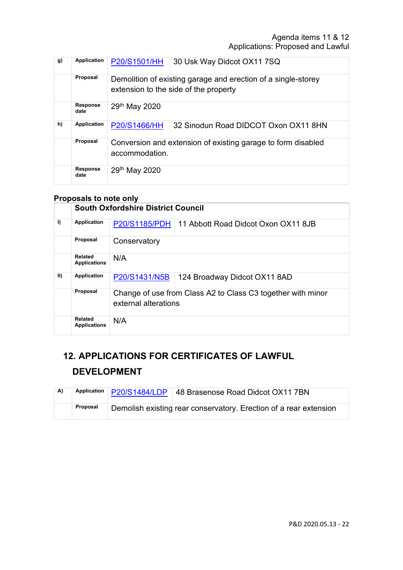#### Agenda items 11 & 12 Applications: Proposed and Lawful

| g) | Application             | P20/S1501/HH   | 30 Usk Way Didcot OX11 7SQ                                                                             |
|----|-------------------------|----------------|--------------------------------------------------------------------------------------------------------|
|    | Proposal                |                | Demolition of existing garage and erection of a single-storey<br>extension to the side of the property |
|    | <b>Response</b><br>date | 29th May 2020  |                                                                                                        |
| h) | <b>Application</b>      | P20/S1466/HH   | 32 Sinodun Road DIDCOT Oxon OX11 8HN                                                                   |
|    | Proposal                | accommodation. | Conversion and extension of existing garage to form disabled                                           |
|    | <b>Response</b><br>date | 29th May 2020  |                                                                                                        |

# **Proposals to note only**

|              |                                | <b>South Oxfordshire District Council</b>                                           |  |
|--------------|--------------------------------|-------------------------------------------------------------------------------------|--|
| $\mathbf{I}$ | <b>Application</b>             | <b>P20/S1185/PDH</b><br>11 Abbott Road Didcot Oxon OX11 8JB                         |  |
|              | <b>Proposal</b>                | Conservatory                                                                        |  |
|              | Related<br><b>Applications</b> | N/A                                                                                 |  |
| $\parallel$  | Application                    | P20/S1431/N5B<br>124 Broadway Didcot OX11 8AD                                       |  |
|              | <b>Proposal</b>                | Change of use from Class A2 to Class C3 together with minor<br>external alterations |  |
|              | Related<br><b>Applications</b> | N/A                                                                                 |  |

# **12. APPLICATIONS FOR CERTIFICATES OF LAWFUL DEVELOPMENT**

| A) |          | Application   P20/S1484/LDP | 48 Brasenose Road Didcot OX11 7BN                                 |
|----|----------|-----------------------------|-------------------------------------------------------------------|
|    | Proposal |                             | Demolish existing rear conservatory. Erection of a rear extension |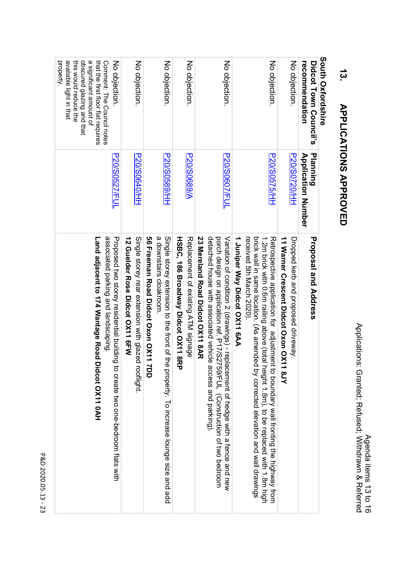Agenda items 13 Agenda items 13 to 16<br>Applications: Granted; Refused; Withdrawn & Referred Applications: Granted; Refused; Withdrawn & Referred

# **13. APPLICATIONS APPROVED APPLICATIONS APPROVED**

# **South Oxfordshire South Oxfordshire**

| <b>SULLI UXIOTUS ILLE</b>                                                                                                                                                                                   |                                              |                                                                                                                                                                                                                                                                                                                                 |
|-------------------------------------------------------------------------------------------------------------------------------------------------------------------------------------------------------------|----------------------------------------------|---------------------------------------------------------------------------------------------------------------------------------------------------------------------------------------------------------------------------------------------------------------------------------------------------------------------------------|
| recommendation<br>Didcot Town Council's                                                                                                                                                                     | <b>Planning</b><br><b>Application Number</b> | <b>Proposal and Address</b>                                                                                                                                                                                                                                                                                                     |
| No objection.                                                                                                                                                                                               | <b>P20/S0720/HH</b>                          | 11 Marner Crescent Didcot OX11 81X<br>Droped kerb and proposed driveway.                                                                                                                                                                                                                                                        |
| No objection.                                                                                                                                                                                               | <b>P20/S0575/HH</b>                          | brick wall in same location. (As amended by corrected elevation and wall drawings<br>1 Duniper May Didcot OX11 6AA<br>received 9th March 2020).<br>1.2m brick with 0.6m railing above (total height 1.8m), to be replaced with 1.8m high<br>Retrospective application for adjustment to boundary wall fronting the highway from |
| No objection.                                                                                                                                                                                               | P20/S0607/FUL                                | detached house with associated vehicle access and parking).<br>23 Mereland Road Didcot OX11 8AR<br>porch design on application ref. P17/S2759/FUL (Construction of two pedroom<br>Variation of condition 2 (drawings) - replacement of hedge with a fence and new                                                               |
| No objection.                                                                                                                                                                                               | <b>P20/S0689/A</b>                           | HSBC, 186 Broadway Didcot OX118<br>Replacement of existing ATM signage<br>정                                                                                                                                                                                                                                                     |
| No objection.                                                                                                                                                                                               | <b>P20/S0589/HH</b>                          | a downstairs cloakroom.<br>56 Treeman Road Didcot Oxon OX1:<br>Single storey extension to the front of the property. To increase lounge size and add<br>17DD                                                                                                                                                                    |
| No objection.                                                                                                                                                                                               | P20/S0640/HH                                 | Single storey rear extension with glazed rooflight:<br>12 Guelder Rose Didcot OX11 6FW                                                                                                                                                                                                                                          |
| that the first floor flat requires<br>available light in that<br>this social reduce the<br>obscured glazing and that<br>a significant amount of<br>Comment: The Council notes<br>property.<br>No objection. | <b>P20/S0527/FUL</b>                         | associated parking and landscaping.<br>Proposed two storey residential prilidin<br>Land adjacent to 174 Wantage Road<br>ig to create two one-bedroom flats with<br>Didcot OX11 0AH                                                                                                                                              |

P&D 2020.05.13 - P&D 2020.05.13 - 23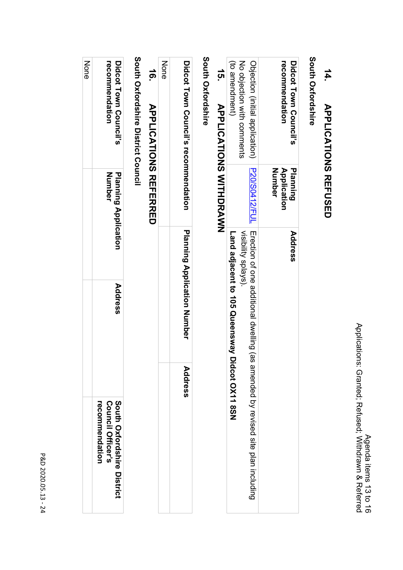| Applications: Granted; Refused; Withdrawn & Referred | Agenda items 13 to 16 |
|------------------------------------------------------|-----------------------|

# **14. APPLICATIONS REFUSED APPLICATIONS REFUSED**

# South Oxfordshire **South Oxfordshire**

| Didcot Town Council's<br>recommendation      | <b>Application</b><br>Number<br>Planning | Address                                                                                                                                                                                             |
|----------------------------------------------|------------------------------------------|-----------------------------------------------------------------------------------------------------------------------------------------------------------------------------------------------------|
| (to amendment)<br>No objection with comments |                                          | Objection (initial application)   P20/S0412/FUL   Erection diveling (as amended by revised site plan including<br>visibility splays).<br>Land adjacent to 105 Queens<br>National<br>Didcot DX11 8SN |
| _<br>ო<br><b>APPLICATIONS WHERANX</b>        |                                          |                                                                                                                                                                                                     |

# South Oxfordshire **South Oxfordshire**

|      | Didcot Town Council's recommendation | <b>Planning Application Number</b> |  |
|------|--------------------------------------|------------------------------------|--|
| None |                                      |                                    |  |
| j    |                                      |                                    |  |

# **16. APPLICATIONS REFERRED APPLICATIONS REFERRED**

# South Oxfordshire District Council **South Oxfordshire District Council**

| None | Didcot Town Council's<br>recommendation.                                        |
|------|---------------------------------------------------------------------------------|
|      | Vumbel<br><sup>1</sup> lanning Applicatio                                       |
|      | Address                                                                         |
|      | <b>Council Officer's</b><br><b>South Oxfordshire District</b><br>recommendation |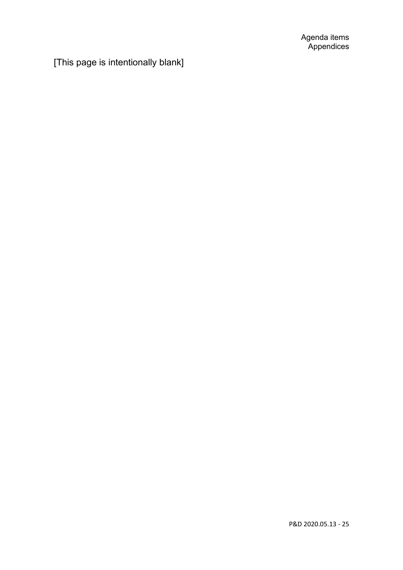[This page is intentionally blank]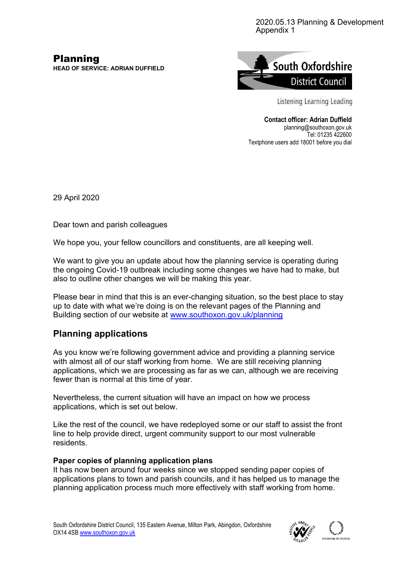2020.05.13 Planning & Development Appendix 1

Planning

**HEAD OF SERVICE: ADRIAN DUFFIELD**



Listening Learning Leading

**Contact officer: Adrian Duffield** planning@southoxon.gov.uk Tel: 01235 422600 Textphone users add 18001 before you dial

29 April 2020

Dear town and parish colleagues

We hope you, your fellow councillors and constituents, are all keeping well.

We want to give you an update about how the planning service is operating during the ongoing Covid-19 outbreak including some changes we have had to make, but also to outline other changes we will be making this year.

Please bear in mind that this is an ever-changing situation, so the best place to stay up to date with what we're doing is on the relevant pages of the Planning and Building section of our website at www.southoxon.gov.uk/planning

# **Planning applications**

As you know we're following government advice and providing a planning service with almost all of our staff working from home. We are still receiving planning applications, which we are processing as far as we can, although we are receiving fewer than is normal at this time of year.

Nevertheless, the current situation will have an impact on how we process applications, which is set out below.

Like the rest of the council, we have redeployed some or our staff to assist the front line to help provide direct, urgent community support to our most vulnerable residents.

#### **Paper copies of planning application plans**

It has now been around four weeks since we stopped sending paper copies of applications plans to town and parish councils, and it has helped us to manage the planning application process much more effectively with staff working from home.

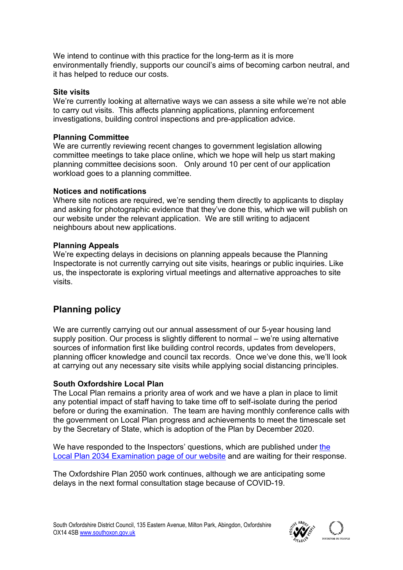We intend to continue with this practice for the long-term as it is more environmentally friendly, supports our council's aims of becoming carbon neutral, and it has helped to reduce our costs.

#### **Site visits**

We're currently looking at alternative ways we can assess a site while we're not able to carry out visits. This affects planning applications, planning enforcement investigations, building control inspections and pre-application advice.

### **Planning Committee**

We are currently reviewing recent changes to government legislation allowing committee meetings to take place online, which we hope will help us start making planning committee decisions soon. Only around 10 per cent of our application workload goes to a planning committee.

#### **Notices and notifications**

Where site notices are required, we're sending them directly to applicants to display and asking for photographic evidence that they've done this, which we will publish on our website under the relevant application. We are still writing to adjacent neighbours about new applications.

#### **Planning Appeals**

We're expecting delays in decisions on planning appeals because the Planning Inspectorate is not currently carrying out site visits, hearings or public inquiries. Like us, the inspectorate is exploring virtual meetings and alternative approaches to site visits.

# **Planning policy**

We are currently carrying out our annual assessment of our 5-year housing land supply position. Our process is slightly different to normal – we're using alternative sources of information first like building control records, updates from developers, planning officer knowledge and council tax records. Once we've done this, we'll look at carrying out any necessary site visits while applying social distancing principles.

#### **South Oxfordshire Local Plan**

The Local Plan remains a priority area of work and we have a plan in place to limit any potential impact of staff having to take time off to self-isolate during the period before or during the examination. The team are having monthly conference calls with the government on Local Plan progress and achievements to meet the timescale set by the Secretary of State, which is adoption of the Plan by December 2020.

We have responded to the Inspectors' questions, which are published under the Local Plan 2034 Examination page of our website and are waiting for their response.

The Oxfordshire Plan 2050 work continues, although we are anticipating some delays in the next formal consultation stage because of COVID-19.

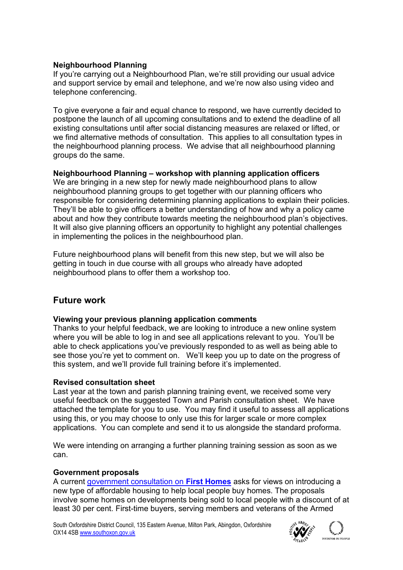### **Neighbourhood Planning**

If you're carrying out a Neighbourhood Plan, we're still providing our usual advice and support service by email and telephone, and we're now also using video and telephone conferencing.

To give everyone a fair and equal chance to respond, we have currently decided to postpone the launch of all upcoming consultations and to extend the deadline of all existing consultations until after social distancing measures are relaxed or lifted, or we find alternative methods of consultation. This applies to all consultation types in the neighbourhood planning process. We advise that all neighbourhood planning groups do the same.

### **Neighbourhood Planning – workshop with planning application officers**

We are bringing in a new step for newly made neighbourhood plans to allow neighbourhood planning groups to get together with our planning officers who responsible for considering determining planning applications to explain their policies. They'll be able to give officers a better understanding of how and why a policy came about and how they contribute towards meeting the neighbourhood plan's objectives. It will also give planning officers an opportunity to highlight any potential challenges in implementing the polices in the neighbourhood plan.

Future neighbourhood plans will benefit from this new step, but we will also be getting in touch in due course with all groups who already have adopted neighbourhood plans to offer them a workshop too.

# **Future work**

#### **Viewing your previous planning application comments**

Thanks to your helpful feedback, we are looking to introduce a new online system where you will be able to log in and see all applications relevant to you. You'll be able to check applications you've previously responded to as well as being able to see those you're yet to comment on. We'll keep you up to date on the progress of this system, and we'll provide full training before it's implemented.

#### **Revised consultation sheet**

Last year at the town and parish planning training event, we received some very useful feedback on the suggested Town and Parish consultation sheet. We have attached the template for you to use. You may find it useful to assess all applications using this, or you may choose to only use this for larger scale or more complex applications. You can complete and send it to us alongside the standard proforma.

We were intending on arranging a further planning training session as soon as we can.

#### **Government proposals**

A current government consultation on **First Homes** asks for views on introducing a new type of affordable housing to help local people buy homes. The proposals involve some homes on developments being sold to local people with a discount of at least 30 per cent. First-time buyers, serving members and veterans of the Armed

South Oxfordshire District Council, 135 Eastern Avenue, Milton Park, Abingdon, Oxfordshire OX14 4SB www.southoxon.gov.uk